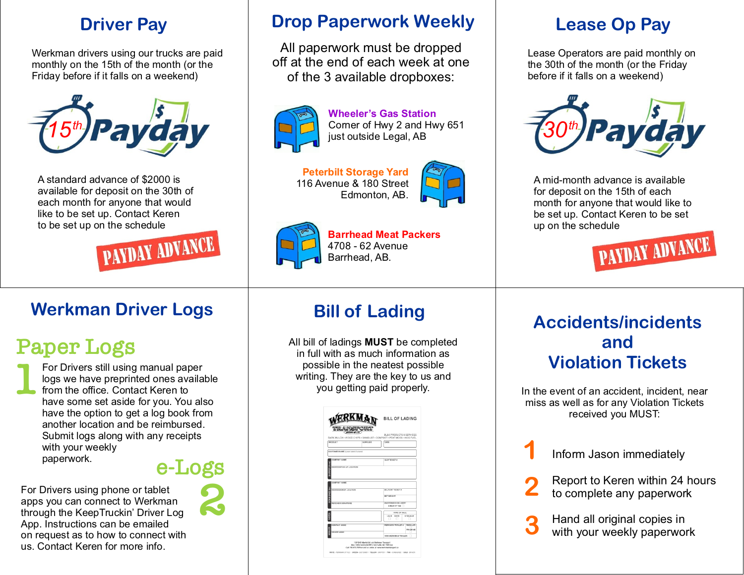#### **Driver
Pay**

Werkman
drivers
using
our
trucks
are
paid monthly
on
the
15th
of
the
month
(or
the Friday
before
if
it
falls
on
a
weekend)



A
standard
advance
of
\$2000
is available
for
deposit
on
the
30th
of each
month
for
anyone
that
would like
to
be
set
up.
Contact
Keren to
be
set
up
on
the
schedule



### **Werkman
Driver
Logs**

# **Paper
Logs**

**1** For
Drivers
still
using
manual
paper logs
we
have
preprinted
ones
available from
the
office.
Contact
Keren
to have some set aside for you. You also have
the
option
to
get
a
log
book
from another
location
and
be
reimbursed. Submit
logs
along
with
any
receipts with
your
weekly paperwork.

#### **e-Logs**

**2**

For
Drivers
using
phone
or
tablet apps
you
can
connect
to
Werkman through
the
KeepTruckin'
Driver
Log App.
Instructions
can
be
emailed on
request
as
to
how
to
connect
with us.
Contact
Keren
for
more
info.



All
paperwork
must
be
dropped off
at
the
end
of
each
week
at
one of
the
3
available
dropboxes:



**Wheeler's
Gas
Station** Corner
of
Hwy
2
and
Hwy
651 just outside Legal, AB

**Peterbilt
Storage
Yard** 116
Avenue
&
180
Street Edmonton,
AB.





**Barrhead
Meat
Packers** 4708
‑
62
Avenue Barrhead,
AB.

#### **Lease
Op
Pay**

Lease Operators are paid monthly on the
30th
of
the
month
(or
the
Friday before
if
it
falls
on
a
weekend)



A
mid‑month
advance
is
available for deposit on the 15th of each month
for
anyone
that
would
like
to be
set
up.
Contact
Keren
to
be
set up
on
the
schedule



All
bill
of
ladings **MUST**be
completed in
full
with
as
much
information
as possible
in
the
neatest
possible writing. They are the key to us and you
getting
paid
properly.

|                                        |                     | BULK PRODUCTS & SERVICES<br>BARK MULCH - WOOD CHIPS - SAWDUST - COMPOST - PEAT MOSS - HOG FUEL |                             |  |
|----------------------------------------|---------------------|------------------------------------------------------------------------------------------------|-----------------------------|--|
| PRODUCT                                | <b>SLID 01, ICB</b> | <b>DATE</b>                                                                                    |                             |  |
| CUSTOMER NAME (Looke histic if Losure) |                     |                                                                                                |                             |  |
| COMPANY NAME                           |                     | SHP TICKET &                                                                                   |                             |  |
| COMPANY NAME                           |                     |                                                                                                |                             |  |
| ADDRESS DROP LOCATION                  |                     | DELIVERY TICKET #                                                                              |                             |  |
|                                        |                     | <b>NET WEIGHT</b>                                                                              |                             |  |
| RECEIVER SIGNATURE                     |                     | UMATTENDED DELIVERY<br>CHECK IF YES                                                            |                             |  |
|                                        |                     | TYPE OF HAUL                                                                                   |                             |  |
|                                        |                     |                                                                                                |                             |  |
|                                        |                     | LEAD BACK<br><b>STRAIGHT</b><br>$\Box$                                                         |                             |  |
| COMPANY NAME<br>DRIVER NAME            |                     | WERKHAN TRAILER 4                                                                              |                             |  |
|                                        |                     | NON-WERKMAN TRAILER                                                                            | REGULAR<br><b>TRI-ORIVE</b> |  |

## **Bill
of
Lading Accidents/incidents and Violation
Tickets**

In
the
event
of
an
accident,
incident,
near miss
as
well
as
for
any
Violation
Tickets received
you
MUST:

Inform
Jason
immediately **1**

Report
to
Keren
within
24
hours to
complete
any
paperwork **2**

Hand
all
original
copies
in with
your
weekly
paperwork **3**